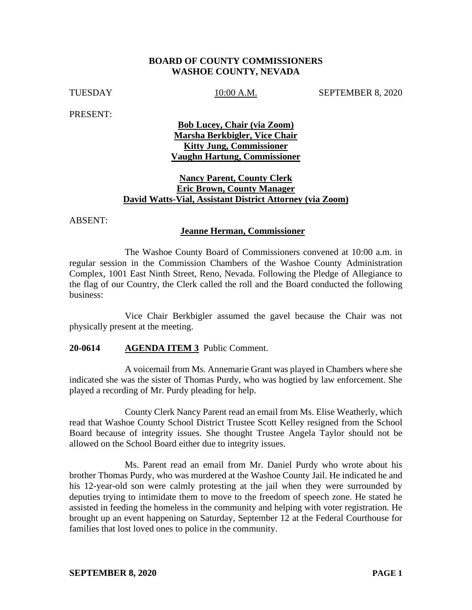### **BOARD OF COUNTY COMMISSIONERS WASHOE COUNTY, NEVADA**

TUESDAY 10:00 A.M. SEPTEMBER 8, 2020

PRESENT:

**Bob Lucey, Chair (via Zoom) Marsha Berkbigler, Vice Chair Kitty Jung, Commissioner Vaughn Hartung, Commissioner** 

## **Nancy Parent, County Clerk Eric Brown, County Manager David Watts-Vial, Assistant District Attorney (via Zoom)**

ABSENT:

### **Jeanne Herman, Commissioner**

The Washoe County Board of Commissioners convened at 10:00 a.m. in regular session in the Commission Chambers of the Washoe County Administration Complex, 1001 East Ninth Street, Reno, Nevada. Following the Pledge of Allegiance to the flag of our Country, the Clerk called the roll and the Board conducted the following business:

Vice Chair Berkbigler assumed the gavel because the Chair was not physically present at the meeting.

### **20-0614 AGENDA ITEM 3** Public Comment.

A voicemail from Ms. Annemarie Grant was played in Chambers where she indicated she was the sister of Thomas Purdy, who was hogtied by law enforcement. She played a recording of Mr. Purdy pleading for help.

County Clerk Nancy Parent read an email from Ms. Elise Weatherly, which read that Washoe County School District Trustee Scott Kelley resigned from the School Board because of integrity issues. She thought Trustee Angela Taylor should not be allowed on the School Board either due to integrity issues.

Ms. Parent read an email from Mr. Daniel Purdy who wrote about his brother Thomas Purdy, who was murdered at the Washoe County Jail. He indicated he and his 12-year-old son were calmly protesting at the jail when they were surrounded by deputies trying to intimidate them to move to the freedom of speech zone. He stated he assisted in feeding the homeless in the community and helping with voter registration. He brought up an event happening on Saturday, September 12 at the Federal Courthouse for families that lost loved ones to police in the community.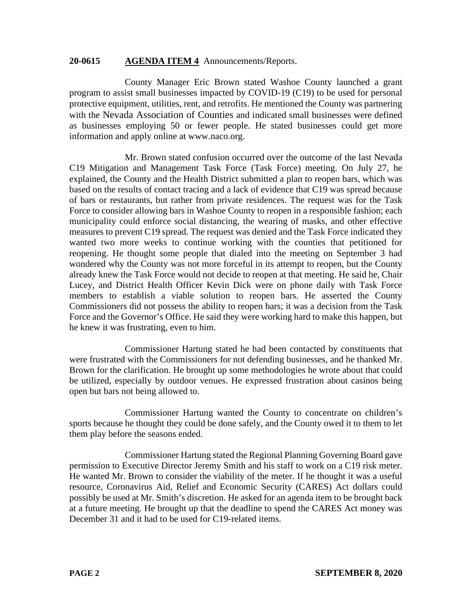### **20-0615 AGENDA ITEM 4** Announcements/Reports.

County Manager Eric Brown stated Washoe County launched a grant program to assist small businesses impacted by COVID-19 (C19) to be used for personal protective equipment, utilities, rent, and retrofits. He mentioned the County was partnering with the Nevada Association of Counties and indicated small businesses were defined as businesses employing 50 or fewer people. He stated businesses could get more information and apply online at www.naco.org.

Mr. Brown stated confusion occurred over the outcome of the last Nevada C19 Mitigation and Management Task Force (Task Force) meeting. On July 27, he explained, the County and the Health District submitted a plan to reopen bars, which was based on the results of contact tracing and a lack of evidence that C19 was spread because of bars or restaurants, but rather from private residences. The request was for the Task Force to consider allowing bars in Washoe County to reopen in a responsible fashion; each municipality could enforce social distancing, the wearing of masks, and other effective measures to prevent C19 spread. The request was denied and the Task Force indicated they wanted two more weeks to continue working with the counties that petitioned for reopening. He thought some people that dialed into the meeting on September 3 had wondered why the County was not more forceful in its attempt to reopen, but the County already knew the Task Force would not decide to reopen at that meeting. He said he, Chair Lucey, and District Health Officer Kevin Dick were on phone daily with Task Force members to establish a viable solution to reopen bars. He asserted the County Commissioners did not possess the ability to reopen bars; it was a decision from the Task Force and the Governor's Office. He said they were working hard to make this happen, but he knew it was frustrating, even to him.

Commissioner Hartung stated he had been contacted by constituents that were frustrated with the Commissioners for not defending businesses, and he thanked Mr. Brown for the clarification. He brought up some methodologies he wrote about that could be utilized, especially by outdoor venues. He expressed frustration about casinos being open but bars not being allowed to.

Commissioner Hartung wanted the County to concentrate on children's sports because he thought they could be done safely, and the County owed it to them to let them play before the seasons ended.

Commissioner Hartung stated the Regional Planning Governing Board gave permission to Executive Director Jeremy Smith and his staff to work on a C19 risk meter. He wanted Mr. Brown to consider the viability of the meter. If he thought it was a useful resource, Coronavirus Aid, Relief and Economic Security (CARES) Act dollars could possibly be used at Mr. Smith's discretion. He asked for an agenda item to be brought back at a future meeting. He brought up that the deadline to spend the CARES Act money was December 31 and it had to be used for C19-related items.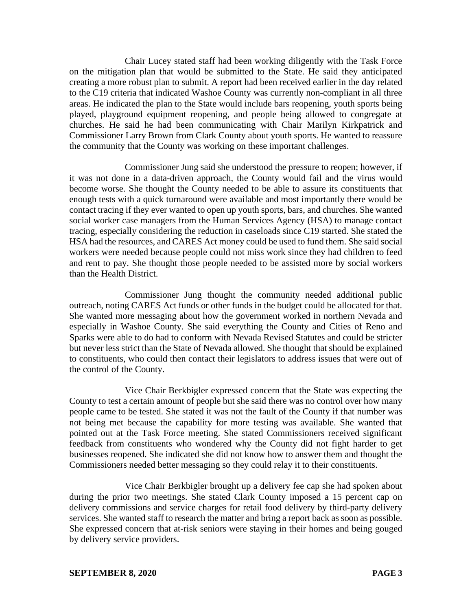Chair Lucey stated staff had been working diligently with the Task Force on the mitigation plan that would be submitted to the State. He said they anticipated creating a more robust plan to submit. A report had been received earlier in the day related to the C19 criteria that indicated Washoe County was currently non-compliant in all three areas. He indicated the plan to the State would include bars reopening, youth sports being played, playground equipment reopening, and people being allowed to congregate at churches. He said he had been communicating with Chair Marilyn Kirkpatrick and Commissioner Larry Brown from Clark County about youth sports. He wanted to reassure the community that the County was working on these important challenges.

Commissioner Jung said she understood the pressure to reopen; however, if it was not done in a data-driven approach, the County would fail and the virus would become worse. She thought the County needed to be able to assure its constituents that enough tests with a quick turnaround were available and most importantly there would be contact tracing if they ever wanted to open up youth sports, bars, and churches. She wanted social worker case managers from the Human Services Agency (HSA) to manage contact tracing, especially considering the reduction in caseloads since C19 started. She stated the HSA had the resources, and CARES Act money could be used to fund them. She said social workers were needed because people could not miss work since they had children to feed and rent to pay. She thought those people needed to be assisted more by social workers than the Health District.

Commissioner Jung thought the community needed additional public outreach, noting CARES Act funds or other funds in the budget could be allocated for that. She wanted more messaging about how the government worked in northern Nevada and especially in Washoe County. She said everything the County and Cities of Reno and Sparks were able to do had to conform with Nevada Revised Statutes and could be stricter but never less strict than the State of Nevada allowed. She thought that should be explained to constituents, who could then contact their legislators to address issues that were out of the control of the County.

Vice Chair Berkbigler expressed concern that the State was expecting the County to test a certain amount of people but she said there was no control over how many people came to be tested. She stated it was not the fault of the County if that number was not being met because the capability for more testing was available. She wanted that pointed out at the Task Force meeting. She stated Commissioners received significant feedback from constituents who wondered why the County did not fight harder to get businesses reopened. She indicated she did not know how to answer them and thought the Commissioners needed better messaging so they could relay it to their constituents.

Vice Chair Berkbigler brought up a delivery fee cap she had spoken about during the prior two meetings. She stated Clark County imposed a 15 percent cap on delivery commissions and service charges for retail food delivery by third-party delivery services. She wanted staff to research the matter and bring a report back as soon as possible. She expressed concern that at-risk seniors were staying in their homes and being gouged by delivery service providers.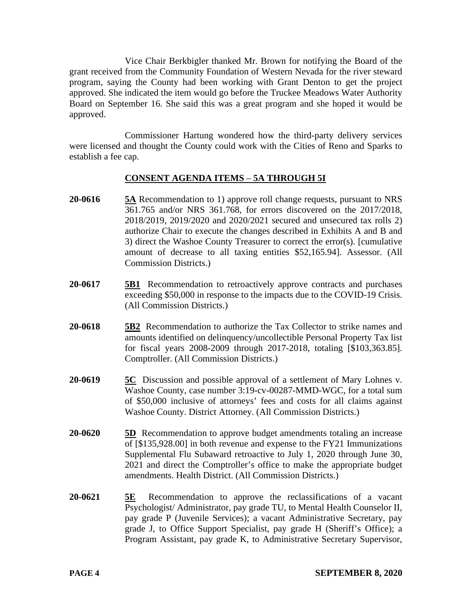Vice Chair Berkbigler thanked Mr. Brown for notifying the Board of the grant received from the Community Foundation of Western Nevada for the river steward program, saying the County had been working with Grant Denton to get the project approved. She indicated the item would go before the Truckee Meadows Water Authority Board on September 16. She said this was a great program and she hoped it would be approved.

Commissioner Hartung wondered how the third-party delivery services were licensed and thought the County could work with the Cities of Reno and Sparks to establish a fee cap.

## **CONSENT AGENDA ITEMS** – **5A THROUGH 5I**

- **20-0616 5A** Recommendation to 1) approve roll change requests, pursuant to NRS 361.765 and/or NRS 361.768, for errors discovered on the 2017/2018, 2018/2019, 2019/2020 and 2020/2021 secured and unsecured tax rolls 2) authorize Chair to execute the changes described in Exhibits A and B and 3) direct the Washoe County Treasurer to correct the error(s). [cumulative amount of decrease to all taxing entities \$52,165.94]. Assessor. (All Commission Districts.)
- **20-0617 5B1** Recommendation to retroactively approve contracts and purchases exceeding \$50,000 in response to the impacts due to the COVID-19 Crisis. (All Commission Districts.)
- **20-0618 5B2** Recommendation to authorize the Tax Collector to strike names and amounts identified on delinquency/uncollectible Personal Property Tax list for fiscal years 2008-2009 through 2017-2018, totaling [\$103,363.85]. Comptroller. (All Commission Districts.)
- **20-0619 5C** Discussion and possible approval of a settlement of Mary Lohnes v. Washoe County, case number 3:19-cv-00287-MMD-WGC, for a total sum of \$50,000 inclusive of attorneys' fees and costs for all claims against Washoe County. District Attorney. (All Commission Districts.)
- **20-0620 5D** Recommendation to approve budget amendments totaling an increase of [\$135,928.00] in both revenue and expense to the FY21 Immunizations Supplemental Flu Subaward retroactive to July 1, 2020 through June 30, 2021 and direct the Comptroller's office to make the appropriate budget amendments. Health District. (All Commission Districts.)
- **20-0621 5E** Recommendation to approve the reclassifications of a vacant Psychologist/ Administrator, pay grade TU, to Mental Health Counselor II, pay grade P (Juvenile Services); a vacant Administrative Secretary, pay grade J, to Office Support Specialist, pay grade H (Sheriff's Office); a Program Assistant, pay grade K, to Administrative Secretary Supervisor,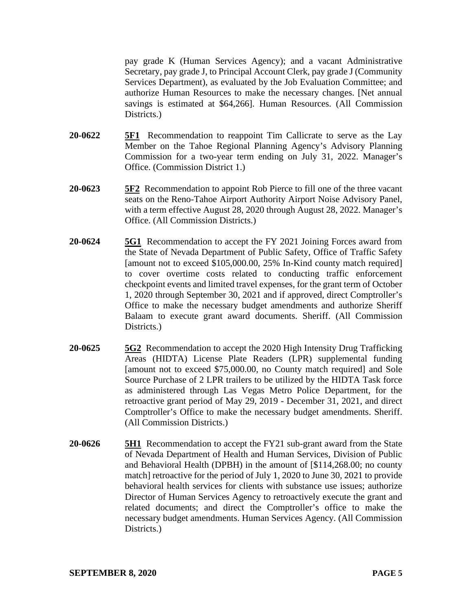pay grade K (Human Services Agency); and a vacant Administrative Secretary, pay grade J, to Principal Account Clerk, pay grade J (Community Services Department), as evaluated by the Job Evaluation Committee; and authorize Human Resources to make the necessary changes. [Net annual savings is estimated at \$64,266]. Human Resources. (All Commission Districts.

- **20-0622 5F1** Recommendation to reappoint Tim Callicrate to serve as the Lay Member on the Tahoe Regional Planning Agency's Advisory Planning Commission for a two-year term ending on July 31, 2022. Manager's Office. (Commission District 1.)
- **20-0623 5F2** Recommendation to appoint Rob Pierce to fill one of the three vacant seats on the Reno-Tahoe Airport Authority Airport Noise Advisory Panel, with a term effective August 28, 2020 through August 28, 2022. Manager's Office. (All Commission Districts.)
- **20-0624 5G1** Recommendation to accept the FY 2021 Joining Forces award from the State of Nevada Department of Public Safety, Office of Traffic Safety [amount not to exceed \$105,000.00, 25% In-Kind county match required] to cover overtime costs related to conducting traffic enforcement checkpoint events and limited travel expenses, for the grant term of October 1, 2020 through September 30, 2021 and if approved, direct Comptroller's Office to make the necessary budget amendments and authorize Sheriff Balaam to execute grant award documents. Sheriff. (All Commission Districts.)
- **20-0625 5G2** Recommendation to accept the 2020 High Intensity Drug Trafficking Areas (HIDTA) License Plate Readers (LPR) supplemental funding [amount not to exceed \$75,000.00, no County match required] and Sole Source Purchase of 2 LPR trailers to be utilized by the HIDTA Task force as administered through Las Vegas Metro Police Department, for the retroactive grant period of May 29, 2019 - December 31, 2021, and direct Comptroller's Office to make the necessary budget amendments. Sheriff. (All Commission Districts.)
- **20-0626 5H1** Recommendation to accept the FY21 sub-grant award from the State of Nevada Department of Health and Human Services, Division of Public and Behavioral Health (DPBH) in the amount of [\$114,268.00; no county match] retroactive for the period of July 1, 2020 to June 30, 2021 to provide behavioral health services for clients with substance use issues; authorize Director of Human Services Agency to retroactively execute the grant and related documents; and direct the Comptroller's office to make the necessary budget amendments. Human Services Agency. (All Commission Districts.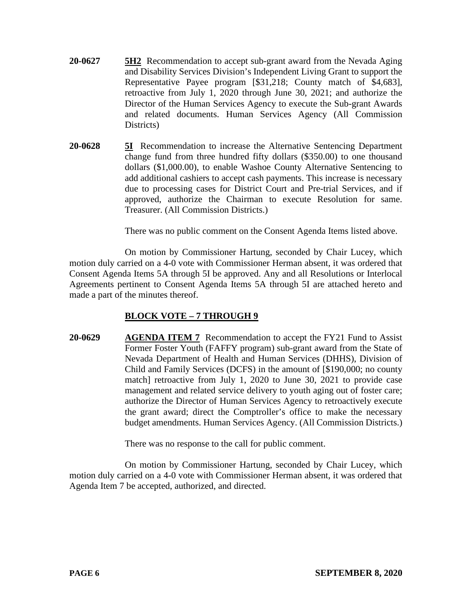- **20-0627 5H2** Recommendation to accept sub-grant award from the Nevada Aging and Disability Services Division's Independent Living Grant to support the Representative Payee program [\$31,218; County match of \$4,683], retroactive from July 1, 2020 through June 30, 2021; and authorize the Director of the Human Services Agency to execute the Sub-grant Awards and related documents. Human Services Agency (All Commission Districts)
- **20-0628 5I** Recommendation to increase the Alternative Sentencing Department change fund from three hundred fifty dollars (\$350.00) to one thousand dollars (\$1,000.00), to enable Washoe County Alternative Sentencing to add additional cashiers to accept cash payments. This increase is necessary due to processing cases for District Court and Pre-trial Services, and if approved, authorize the Chairman to execute Resolution for same. Treasurer. (All Commission Districts.)

There was no public comment on the Consent Agenda Items listed above.

On motion by Commissioner Hartung, seconded by Chair Lucey, which motion duly carried on a 4-0 vote with Commissioner Herman absent, it was ordered that Consent Agenda Items 5A through 5I be approved. Any and all Resolutions or Interlocal Agreements pertinent to Consent Agenda Items 5A through 5I are attached hereto and made a part of the minutes thereof.

# **BLOCK VOTE – 7 THROUGH 9**

**20-0629 AGENDA ITEM 7** Recommendation to accept the FY21 Fund to Assist Former Foster Youth (FAFFY program) sub-grant award from the State of Nevada Department of Health and Human Services (DHHS), Division of Child and Family Services (DCFS) in the amount of [\$190,000; no county match] retroactive from July 1, 2020 to June 30, 2021 to provide case management and related service delivery to youth aging out of foster care; authorize the Director of Human Services Agency to retroactively execute the grant award; direct the Comptroller's office to make the necessary budget amendments. Human Services Agency. (All Commission Districts.)

There was no response to the call for public comment.

On motion by Commissioner Hartung, seconded by Chair Lucey, which motion duly carried on a 4-0 vote with Commissioner Herman absent, it was ordered that Agenda Item 7 be accepted, authorized, and directed.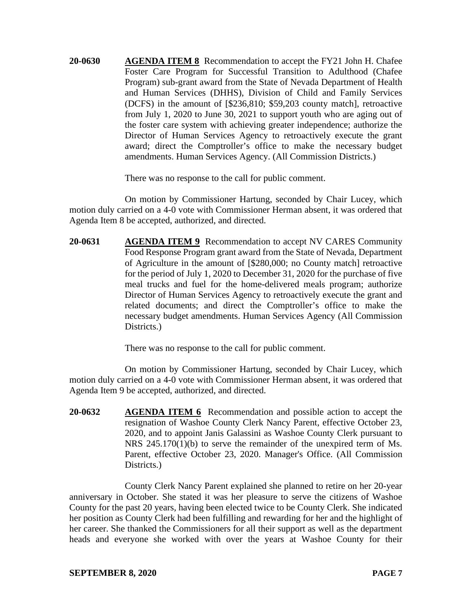**20-0630 AGENDA ITEM 8** Recommendation to accept the FY21 John H. Chafee Foster Care Program for Successful Transition to Adulthood (Chafee Program) sub-grant award from the State of Nevada Department of Health and Human Services (DHHS), Division of Child and Family Services (DCFS) in the amount of [\$236,810; \$59,203 county match], retroactive from July 1, 2020 to June 30, 2021 to support youth who are aging out of the foster care system with achieving greater independence; authorize the Director of Human Services Agency to retroactively execute the grant award; direct the Comptroller's office to make the necessary budget amendments. Human Services Agency. (All Commission Districts.)

There was no response to the call for public comment.

On motion by Commissioner Hartung, seconded by Chair Lucey, which motion duly carried on a 4-0 vote with Commissioner Herman absent, it was ordered that Agenda Item 8 be accepted, authorized, and directed.

**20-0631 AGENDA ITEM 9** Recommendation to accept NV CARES Community Food Response Program grant award from the State of Nevada, Department of Agriculture in the amount of [\$280,000; no County match] retroactive for the period of July 1, 2020 to December 31, 2020 for the purchase of five meal trucks and fuel for the home-delivered meals program; authorize Director of Human Services Agency to retroactively execute the grant and related documents; and direct the Comptroller's office to make the necessary budget amendments. Human Services Agency (All Commission Districts.)

There was no response to the call for public comment.

On motion by Commissioner Hartung, seconded by Chair Lucey, which motion duly carried on a 4-0 vote with Commissioner Herman absent, it was ordered that Agenda Item 9 be accepted, authorized, and directed.

**20-0632 AGENDA ITEM 6** Recommendation and possible action to accept the resignation of Washoe County Clerk Nancy Parent, effective October 23, 2020, and to appoint Janis Galassini as Washoe County Clerk pursuant to NRS 245.170(1)(b) to serve the remainder of the unexpired term of Ms. Parent, effective October 23, 2020. Manager's Office. (All Commission Districts.)

County Clerk Nancy Parent explained she planned to retire on her 20-year anniversary in October. She stated it was her pleasure to serve the citizens of Washoe County for the past 20 years, having been elected twice to be County Clerk. She indicated her position as County Clerk had been fulfilling and rewarding for her and the highlight of her career. She thanked the Commissioners for all their support as well as the department heads and everyone she worked with over the years at Washoe County for their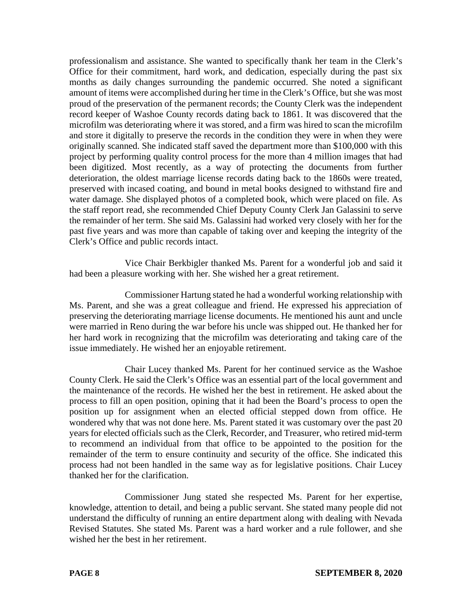professionalism and assistance. She wanted to specifically thank her team in the Clerk's Office for their commitment, hard work, and dedication, especially during the past six months as daily changes surrounding the pandemic occurred. She noted a significant amount of items were accomplished during her time in the Clerk's Office, but she was most proud of the preservation of the permanent records; the County Clerk was the independent record keeper of Washoe County records dating back to 1861. It was discovered that the microfilm was deteriorating where it was stored, and a firm was hired to scan the microfilm and store it digitally to preserve the records in the condition they were in when they were originally scanned. She indicated staff saved the department more than \$100,000 with this project by performing quality control process for the more than 4 million images that had been digitized. Most recently, as a way of protecting the documents from further deterioration, the oldest marriage license records dating back to the 1860s were treated, preserved with incased coating, and bound in metal books designed to withstand fire and water damage. She displayed photos of a completed book, which were placed on file. As the staff report read, she recommended Chief Deputy County Clerk Jan Galassini to serve the remainder of her term. She said Ms. Galassini had worked very closely with her for the past five years and was more than capable of taking over and keeping the integrity of the Clerk's Office and public records intact.

Vice Chair Berkbigler thanked Ms. Parent for a wonderful job and said it had been a pleasure working with her. She wished her a great retirement.

Commissioner Hartung stated he had a wonderful working relationship with Ms. Parent, and she was a great colleague and friend. He expressed his appreciation of preserving the deteriorating marriage license documents. He mentioned his aunt and uncle were married in Reno during the war before his uncle was shipped out. He thanked her for her hard work in recognizing that the microfilm was deteriorating and taking care of the issue immediately. He wished her an enjoyable retirement.

Chair Lucey thanked Ms. Parent for her continued service as the Washoe County Clerk. He said the Clerk's Office was an essential part of the local government and the maintenance of the records. He wished her the best in retirement. He asked about the process to fill an open position, opining that it had been the Board's process to open the position up for assignment when an elected official stepped down from office. He wondered why that was not done here. Ms. Parent stated it was customary over the past 20 years for elected officials such as the Clerk, Recorder, and Treasurer, who retired mid-term to recommend an individual from that office to be appointed to the position for the remainder of the term to ensure continuity and security of the office. She indicated this process had not been handled in the same way as for legislative positions. Chair Lucey thanked her for the clarification.

Commissioner Jung stated she respected Ms. Parent for her expertise, knowledge, attention to detail, and being a public servant. She stated many people did not understand the difficulty of running an entire department along with dealing with Nevada Revised Statutes. She stated Ms. Parent was a hard worker and a rule follower, and she wished her the best in her retirement.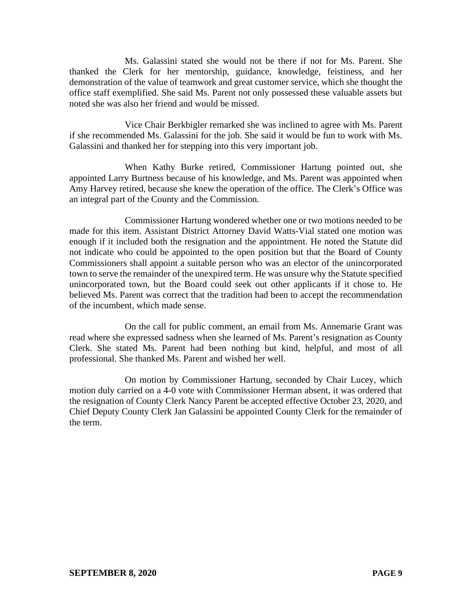Ms. Galassini stated she would not be there if not for Ms. Parent. She thanked the Clerk for her mentorship, guidance, knowledge, feistiness, and her demonstration of the value of teamwork and great customer service, which she thought the office staff exemplified. She said Ms. Parent not only possessed these valuable assets but noted she was also her friend and would be missed.

Vice Chair Berkbigler remarked she was inclined to agree with Ms. Parent if she recommended Ms. Galassini for the job. She said it would be fun to work with Ms. Galassini and thanked her for stepping into this very important job.

When Kathy Burke retired, Commissioner Hartung pointed out, she appointed Larry Burtness because of his knowledge, and Ms. Parent was appointed when Amy Harvey retired, because she knew the operation of the office. The Clerk's Office was an integral part of the County and the Commission.

Commissioner Hartung wondered whether one or two motions needed to be made for this item. Assistant District Attorney David Watts-Vial stated one motion was enough if it included both the resignation and the appointment. He noted the Statute did not indicate who could be appointed to the open position but that the Board of County Commissioners shall appoint a suitable person who was an elector of the unincorporated town to serve the remainder of the unexpired term. He was unsure why the Statute specified unincorporated town, but the Board could seek out other applicants if it chose to. He believed Ms. Parent was correct that the tradition had been to accept the recommendation of the incumbent, which made sense.

On the call for public comment, an email from Ms. Annemarie Grant was read where she expressed sadness when she learned of Ms. Parent's resignation as County Clerk. She stated Ms. Parent had been nothing but kind, helpful, and most of all professional. She thanked Ms. Parent and wished her well.

On motion by Commissioner Hartung, seconded by Chair Lucey, which motion duly carried on a 4-0 vote with Commissioner Herman absent, it was ordered that the resignation of County Clerk Nancy Parent be accepted effective October 23, 2020, and Chief Deputy County Clerk Jan Galassini be appointed County Clerk for the remainder of the term.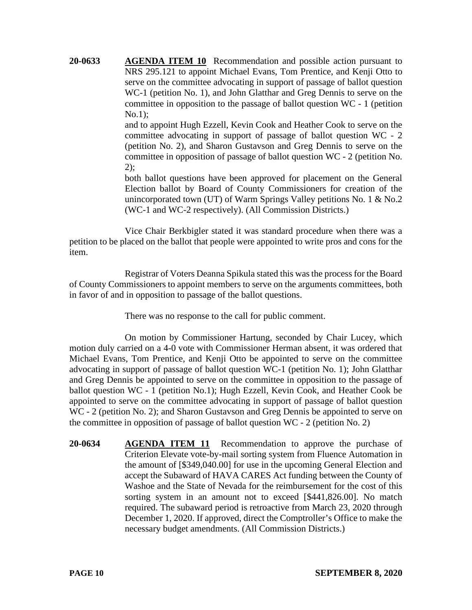**20-0633 AGENDA ITEM 10** Recommendation and possible action pursuant to NRS 295.121 to appoint Michael Evans, Tom Prentice, and Kenji Otto to serve on the committee advocating in support of passage of ballot question WC-1 (petition No. 1), and John Glatthar and Greg Dennis to serve on the committee in opposition to the passage of ballot question WC - 1 (petition No.1);

> and to appoint Hugh Ezzell, Kevin Cook and Heather Cook to serve on the committee advocating in support of passage of ballot question WC - 2 (petition No. 2), and Sharon Gustavson and Greg Dennis to serve on the committee in opposition of passage of ballot question WC - 2 (petition No. 2);

> both ballot questions have been approved for placement on the General Election ballot by Board of County Commissioners for creation of the unincorporated town (UT) of Warm Springs Valley petitions No. 1 & No.2 (WC-1 and WC-2 respectively). (All Commission Districts.)

Vice Chair Berkbigler stated it was standard procedure when there was a petition to be placed on the ballot that people were appointed to write pros and cons for the item.

Registrar of Voters Deanna Spikula stated this was the process for the Board of County Commissioners to appoint members to serve on the arguments committees, both in favor of and in opposition to passage of the ballot questions.

There was no response to the call for public comment.

On motion by Commissioner Hartung, seconded by Chair Lucey, which motion duly carried on a 4-0 vote with Commissioner Herman absent, it was ordered that Michael Evans, Tom Prentice, and Kenji Otto be appointed to serve on the committee advocating in support of passage of ballot question WC-1 (petition No. 1); John Glatthar and Greg Dennis be appointed to serve on the committee in opposition to the passage of ballot question WC - 1 (petition No.1); Hugh Ezzell, Kevin Cook, and Heather Cook be appointed to serve on the committee advocating in support of passage of ballot question WC - 2 (petition No. 2); and Sharon Gustavson and Greg Dennis be appointed to serve on the committee in opposition of passage of ballot question WC - 2 (petition No. 2)

**20-0634 AGENDA ITEM 11** Recommendation to approve the purchase of Criterion Elevate vote-by-mail sorting system from Fluence Automation in the amount of [\$349,040.00] for use in the upcoming General Election and accept the Subaward of HAVA CARES Act funding between the County of Washoe and the State of Nevada for the reimbursement for the cost of this sorting system in an amount not to exceed [\$441,826.00]. No match required. The subaward period is retroactive from March 23, 2020 through December 1, 2020. If approved, direct the Comptroller's Office to make the necessary budget amendments. (All Commission Districts.)